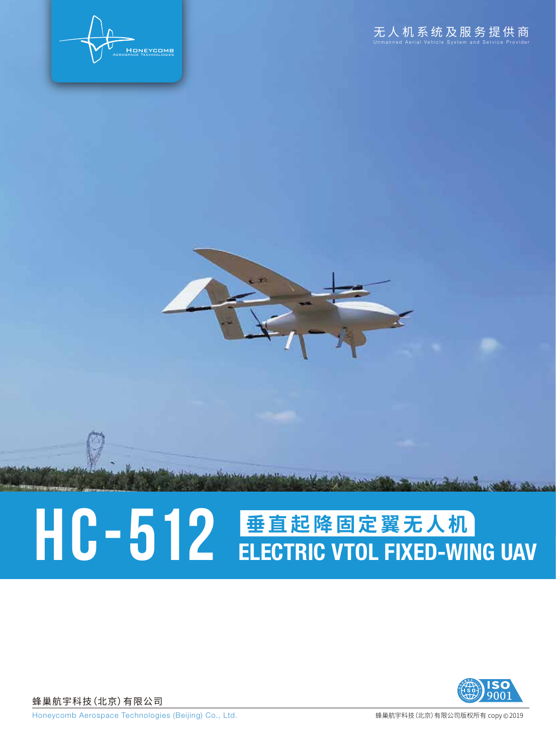

## HC-512 **垂直起降固定翼无人机**

蜂巢航宇科技(北京)有限公司



Honeycomb Aerospace Technologies (Beijing) Co., Ltd. <br> **Warehouse The Contract of American** Wellet New York of Warehouse Wellet American Composition of American Compo